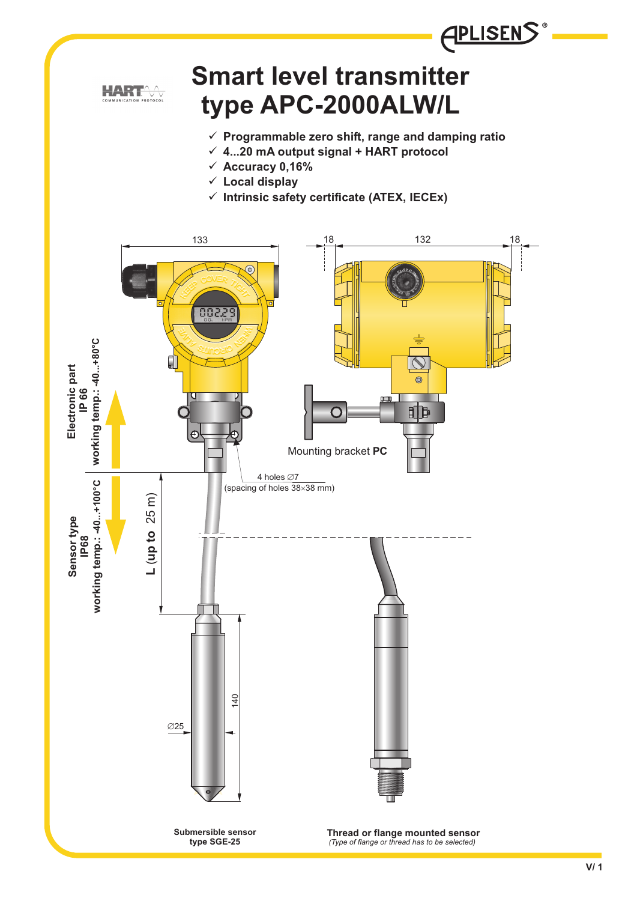

# **Smart level transmitter type APC-2000ALW/L**

- **Programmable zero shift, range and damping ratio**

**APLISENS** 

- **4...20 mA output signal + HART protocol**
- **Accuracy 0,16%**
- **Local display**
- **Intrinsic safety certificate (ATEX, IECEx)**